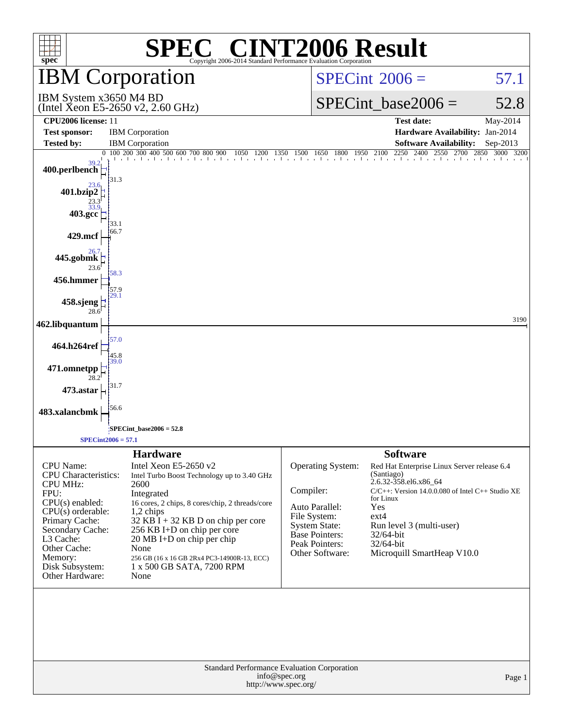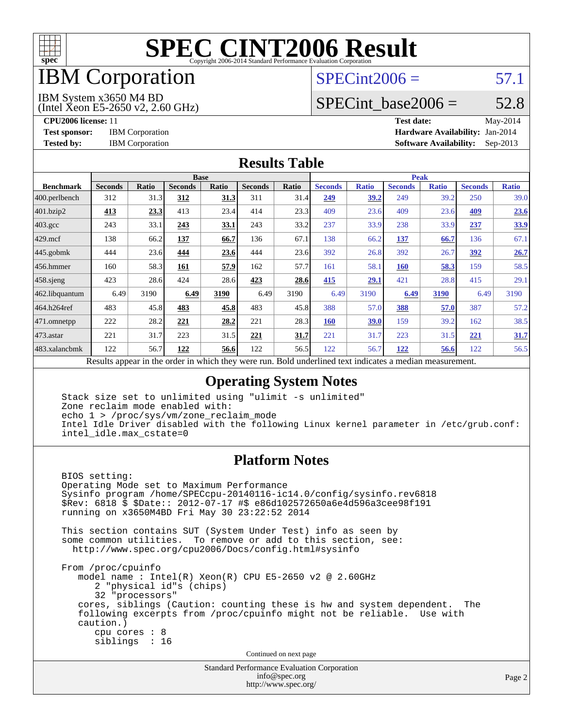

# IBM Corporation

## $SPECint2006 = 57.1$  $SPECint2006 = 57.1$

IBM System x3650 M4 BD

(Intel Xeon E5-2650 v2, 2.60 GHz)

SPECint base2006 =  $52.8$ 

**[CPU2006 license:](http://www.spec.org/auto/cpu2006/Docs/result-fields.html#CPU2006license)** 11 **[Test date:](http://www.spec.org/auto/cpu2006/Docs/result-fields.html#Testdate)** May-2014 **[Test sponsor:](http://www.spec.org/auto/cpu2006/Docs/result-fields.html#Testsponsor)** IBM Corporation **[Hardware Availability:](http://www.spec.org/auto/cpu2006/Docs/result-fields.html#HardwareAvailability)** Jan-2014 **[Tested by:](http://www.spec.org/auto/cpu2006/Docs/result-fields.html#Testedby)** IBM Corporation **[Software Availability:](http://www.spec.org/auto/cpu2006/Docs/result-fields.html#SoftwareAvailability)** Sep-2013

#### **[Results Table](http://www.spec.org/auto/cpu2006/Docs/result-fields.html#ResultsTable)**

|                  | <b>Base</b>                                                                                                |              |                |       |                |       | <b>Peak</b>    |              |                |              |                |              |
|------------------|------------------------------------------------------------------------------------------------------------|--------------|----------------|-------|----------------|-------|----------------|--------------|----------------|--------------|----------------|--------------|
| <b>Benchmark</b> | <b>Seconds</b>                                                                                             | <b>Ratio</b> | <b>Seconds</b> | Ratio | <b>Seconds</b> | Ratio | <b>Seconds</b> | <b>Ratio</b> | <b>Seconds</b> | <b>Ratio</b> | <b>Seconds</b> | <b>Ratio</b> |
| 400.perlbench    | 312                                                                                                        | 31.3         | 312            | 31.3  | 311            | 31.4  | 249            | 39.2         | 249            | 39.2         | 250            | 39.0         |
| 401.bzip2        | 413                                                                                                        | 23.3         | 413            | 23.4  | 414            | 23.3  | 409            | 23.6         | 409            | 23.6         | 409            | 23.6         |
| $403.\text{gcc}$ | 243                                                                                                        | 33.1         | 243            | 33.1  | 243            | 33.2  | 237            | 33.9         | 238            | 33.9         | 237            | 33.9         |
| $429$ .mcf       | 138                                                                                                        | 66.2         | <u>137</u>     | 66.7  | 136            | 67.1  | 138            | 66.2         | <u>137</u>     | 66.7         | 136            | 67.1         |
| 445.gobmk        | 444                                                                                                        | 23.6         | 444            | 23.6  | 444            | 23.6  | 392            | 26.8         | 392            | 26.7         | 392            | 26.7         |
| 456.hmmer        | 160                                                                                                        | 58.3         | 161            | 57.9  | 162            | 57.7  | 161            | 58.1         | 160            | 58.3         | 159            | 58.5         |
| $458$ sjeng      | 423                                                                                                        | 28.6         | 424            | 28.6  | 423            | 28.6  | 415            | 29.1         | 421            | 28.8         | 415            | 29.1         |
| 462.libquantum   | 6.49                                                                                                       | 3190         | 6.49           | 3190  | 6.49           | 3190  | 6.49           | 3190         | 6.49           | 3190         | 6.49           | 3190         |
| 464.h264ref      | 483                                                                                                        | 45.8         | 483            | 45.8  | 483            | 45.8  | 388            | 57.0         | 388            | 57.0         | 387            | 57.2         |
| 471.omnetpp      | 222                                                                                                        | 28.2         | 221            | 28.2  | 221            | 28.3  | <b>160</b>     | <u>39.0</u>  | 159            | 39.2         | 162            | 38.5         |
| 473.astar        | 221                                                                                                        | 31.7         | 223            | 31.5  | 221            | 31.7  | 221            | 31.7         | 223            | 31.5         | 221            | 31.7         |
| 483.xalancbmk    | 122                                                                                                        | 56.7         | 122            | 56.6  | 122            | 56.5  | 122            | 56.7         | 122            | 56.6         | 122            | 56.5         |
|                  | Described and can be the condentry ordered theory occurs more<br>Deld condentined test indicates a medical |              |                |       |                |       |                |              |                |              |                |              |

Results appear in the [order in which they were run.](http://www.spec.org/auto/cpu2006/Docs/result-fields.html#RunOrder) Bold underlined text [indicates a median measurement.](http://www.spec.org/auto/cpu2006/Docs/result-fields.html#Median)

### **[Operating System Notes](http://www.spec.org/auto/cpu2006/Docs/result-fields.html#OperatingSystemNotes)**

 Stack size set to unlimited using "ulimit -s unlimited" Zone reclaim mode enabled with: echo 1 > /proc/sys/vm/zone\_reclaim\_mode Intel Idle Driver disabled with the following Linux kernel parameter in /etc/grub.conf: intel\_idle.max\_cstate=0

### **[Platform Notes](http://www.spec.org/auto/cpu2006/Docs/result-fields.html#PlatformNotes)**

 BIOS setting: Operating Mode set to Maximum Performance Sysinfo program /home/SPECcpu-20140116-ic14.0/config/sysinfo.rev6818 \$Rev: 6818 \$ \$Date:: 2012-07-17 #\$ e86d102572650a6e4d596a3cee98f191 running on x3650M4BD Fri May 30 23:22:52 2014 This section contains SUT (System Under Test) info as seen by some common utilities. To remove or add to this section, see: <http://www.spec.org/cpu2006/Docs/config.html#sysinfo> From /proc/cpuinfo model name:  $Intel(R)$  Xeon $(R)$  CPU E5-2650 v2 @ 2.60GHz 2 "physical id"s (chips) 32 "processors" cores, siblings (Caution: counting these is hw and system dependent. The following excerpts from /proc/cpuinfo might not be reliable. Use with caution.) cpu cores : 8 siblings : 16 Continued on next page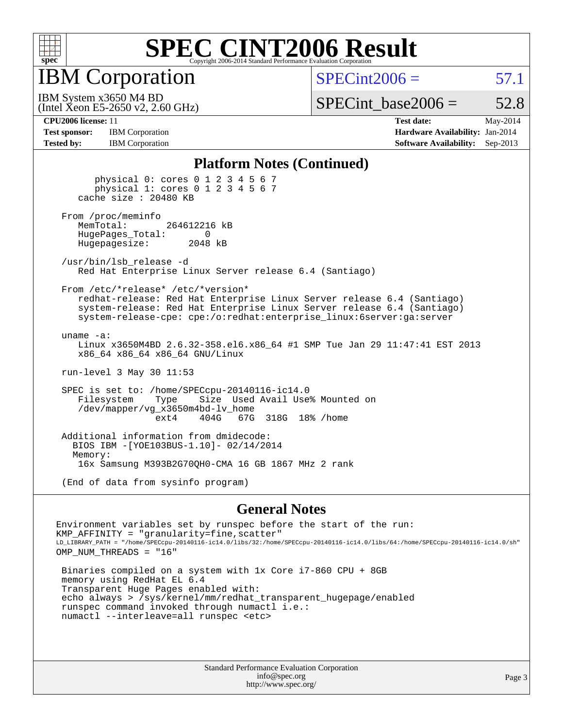

IBM Corporation

 $SPECint2006 = 57.1$  $SPECint2006 = 57.1$ 

(Intel Xeon E5-2650 v2, 2.60 GHz) IBM System x3650 M4 BD

SPECint base2006 =  $52.8$ 

**[Test sponsor:](http://www.spec.org/auto/cpu2006/Docs/result-fields.html#Testsponsor)** IBM Corporation **[Hardware Availability:](http://www.spec.org/auto/cpu2006/Docs/result-fields.html#HardwareAvailability)** Jan-2014 **[Tested by:](http://www.spec.org/auto/cpu2006/Docs/result-fields.html#Testedby)** IBM Corporation **[Software Availability:](http://www.spec.org/auto/cpu2006/Docs/result-fields.html#SoftwareAvailability)** Sep-2013

**[CPU2006 license:](http://www.spec.org/auto/cpu2006/Docs/result-fields.html#CPU2006license)** 11 **[Test date:](http://www.spec.org/auto/cpu2006/Docs/result-fields.html#Testdate)** May-2014

#### **[Platform Notes \(Continued\)](http://www.spec.org/auto/cpu2006/Docs/result-fields.html#PlatformNotes)**

 physical 0: cores 0 1 2 3 4 5 6 7 physical 1: cores 0 1 2 3 4 5 6 7 cache size : 20480 KB From /proc/meminfo<br>MemTotal: 264612216 kB HugePages\_Total: 0<br>Hugepagesize: 2048 kB Hugepagesize: /usr/bin/lsb\_release -d Red Hat Enterprise Linux Server release 6.4 (Santiago) From /etc/\*release\* /etc/\*version\* redhat-release: Red Hat Enterprise Linux Server release 6.4 (Santiago) system-release: Red Hat Enterprise Linux Server release 6.4 (Santiago) system-release-cpe: cpe:/o:redhat:enterprise\_linux:6server:ga:server uname -a: Linux x3650M4BD 2.6.32-358.el6.x86\_64 #1 SMP Tue Jan 29 11:47:41 EST 2013 x86\_64 x86\_64 x86\_64 GNU/Linux run-level 3 May 30 11:53 SPEC is set to: /home/SPECcpu-20140116-ic14.0 Filesystem Type Size Used Avail Use% Mounted on /dev/mapper/vg\_x3650m4bd-lv\_home ext4 404G 67G 318G 18% /home Additional information from dmidecode: BIOS IBM -[YOE103BUS-1.10]- 02/14/2014 Memory: 16x Samsung M393B2G70QH0-CMA 16 GB 1867 MHz 2 rank (End of data from sysinfo program)

**[General Notes](http://www.spec.org/auto/cpu2006/Docs/result-fields.html#GeneralNotes)**

Environment variables set by runspec before the start of the run: KMP\_AFFINITY = "granularity=fine,scatter" LD\_LIBRARY\_PATH = "/home/SPECcpu-20140116-ic14.0/libs/32:/home/SPECcpu-20140116-ic14.0/libs/64:/home/SPECcpu-20140116-ic14.0/sh" OMP NUM THREADS = "16"

 Binaries compiled on a system with 1x Core i7-860 CPU + 8GB memory using RedHat EL 6.4 Transparent Huge Pages enabled with: echo always > /sys/kernel/mm/redhat\_transparent\_hugepage/enabled runspec command invoked through numactl i.e.: numactl --interleave=all runspec <etc>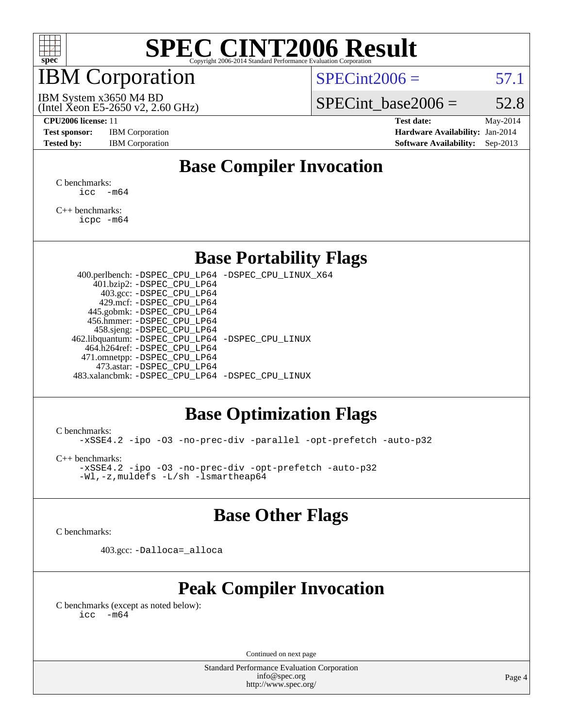

# IBM Corporation

 $SPECint2006 = 57.1$  $SPECint2006 = 57.1$ 

(Intel Xeon E5-2650 v2, 2.60 GHz) IBM System x3650 M4 BD

SPECint base2006 =  $52.8$ 

**[CPU2006 license:](http://www.spec.org/auto/cpu2006/Docs/result-fields.html#CPU2006license)** 11 **[Test date:](http://www.spec.org/auto/cpu2006/Docs/result-fields.html#Testdate)** May-2014 **[Test sponsor:](http://www.spec.org/auto/cpu2006/Docs/result-fields.html#Testsponsor)** IBM Corporation **[Hardware Availability:](http://www.spec.org/auto/cpu2006/Docs/result-fields.html#HardwareAvailability)** Jan-2014 **[Tested by:](http://www.spec.org/auto/cpu2006/Docs/result-fields.html#Testedby)** IBM Corporation **[Software Availability:](http://www.spec.org/auto/cpu2006/Docs/result-fields.html#SoftwareAvailability)** Sep-2013

# **[Base Compiler Invocation](http://www.spec.org/auto/cpu2006/Docs/result-fields.html#BaseCompilerInvocation)**

[C benchmarks](http://www.spec.org/auto/cpu2006/Docs/result-fields.html#Cbenchmarks):  $\text{icc}$   $-\text{m64}$ 

[C++ benchmarks:](http://www.spec.org/auto/cpu2006/Docs/result-fields.html#CXXbenchmarks) [icpc -m64](http://www.spec.org/cpu2006/results/res2014q3/cpu2006-20140611-29863.flags.html#user_CXXbase_intel_icpc_64bit_fc66a5337ce925472a5c54ad6a0de310)

### **[Base Portability Flags](http://www.spec.org/auto/cpu2006/Docs/result-fields.html#BasePortabilityFlags)**

 400.perlbench: [-DSPEC\\_CPU\\_LP64](http://www.spec.org/cpu2006/results/res2014q3/cpu2006-20140611-29863.flags.html#b400.perlbench_basePORTABILITY_DSPEC_CPU_LP64) [-DSPEC\\_CPU\\_LINUX\\_X64](http://www.spec.org/cpu2006/results/res2014q3/cpu2006-20140611-29863.flags.html#b400.perlbench_baseCPORTABILITY_DSPEC_CPU_LINUX_X64) 401.bzip2: [-DSPEC\\_CPU\\_LP64](http://www.spec.org/cpu2006/results/res2014q3/cpu2006-20140611-29863.flags.html#suite_basePORTABILITY401_bzip2_DSPEC_CPU_LP64) 403.gcc: [-DSPEC\\_CPU\\_LP64](http://www.spec.org/cpu2006/results/res2014q3/cpu2006-20140611-29863.flags.html#suite_basePORTABILITY403_gcc_DSPEC_CPU_LP64) 429.mcf: [-DSPEC\\_CPU\\_LP64](http://www.spec.org/cpu2006/results/res2014q3/cpu2006-20140611-29863.flags.html#suite_basePORTABILITY429_mcf_DSPEC_CPU_LP64) 445.gobmk: [-DSPEC\\_CPU\\_LP64](http://www.spec.org/cpu2006/results/res2014q3/cpu2006-20140611-29863.flags.html#suite_basePORTABILITY445_gobmk_DSPEC_CPU_LP64) 456.hmmer: [-DSPEC\\_CPU\\_LP64](http://www.spec.org/cpu2006/results/res2014q3/cpu2006-20140611-29863.flags.html#suite_basePORTABILITY456_hmmer_DSPEC_CPU_LP64) 458.sjeng: [-DSPEC\\_CPU\\_LP64](http://www.spec.org/cpu2006/results/res2014q3/cpu2006-20140611-29863.flags.html#suite_basePORTABILITY458_sjeng_DSPEC_CPU_LP64) 462.libquantum: [-DSPEC\\_CPU\\_LP64](http://www.spec.org/cpu2006/results/res2014q3/cpu2006-20140611-29863.flags.html#suite_basePORTABILITY462_libquantum_DSPEC_CPU_LP64) [-DSPEC\\_CPU\\_LINUX](http://www.spec.org/cpu2006/results/res2014q3/cpu2006-20140611-29863.flags.html#b462.libquantum_baseCPORTABILITY_DSPEC_CPU_LINUX) 464.h264ref: [-DSPEC\\_CPU\\_LP64](http://www.spec.org/cpu2006/results/res2014q3/cpu2006-20140611-29863.flags.html#suite_basePORTABILITY464_h264ref_DSPEC_CPU_LP64) 471.omnetpp: [-DSPEC\\_CPU\\_LP64](http://www.spec.org/cpu2006/results/res2014q3/cpu2006-20140611-29863.flags.html#suite_basePORTABILITY471_omnetpp_DSPEC_CPU_LP64) 473.astar: [-DSPEC\\_CPU\\_LP64](http://www.spec.org/cpu2006/results/res2014q3/cpu2006-20140611-29863.flags.html#suite_basePORTABILITY473_astar_DSPEC_CPU_LP64) 483.xalancbmk: [-DSPEC\\_CPU\\_LP64](http://www.spec.org/cpu2006/results/res2014q3/cpu2006-20140611-29863.flags.html#suite_basePORTABILITY483_xalancbmk_DSPEC_CPU_LP64) [-DSPEC\\_CPU\\_LINUX](http://www.spec.org/cpu2006/results/res2014q3/cpu2006-20140611-29863.flags.html#b483.xalancbmk_baseCXXPORTABILITY_DSPEC_CPU_LINUX)

## **[Base Optimization Flags](http://www.spec.org/auto/cpu2006/Docs/result-fields.html#BaseOptimizationFlags)**

[C benchmarks](http://www.spec.org/auto/cpu2006/Docs/result-fields.html#Cbenchmarks):

[-xSSE4.2](http://www.spec.org/cpu2006/results/res2014q3/cpu2006-20140611-29863.flags.html#user_CCbase_f-xSSE42_f91528193cf0b216347adb8b939d4107) [-ipo](http://www.spec.org/cpu2006/results/res2014q3/cpu2006-20140611-29863.flags.html#user_CCbase_f-ipo) [-O3](http://www.spec.org/cpu2006/results/res2014q3/cpu2006-20140611-29863.flags.html#user_CCbase_f-O3) [-no-prec-div](http://www.spec.org/cpu2006/results/res2014q3/cpu2006-20140611-29863.flags.html#user_CCbase_f-no-prec-div) [-parallel](http://www.spec.org/cpu2006/results/res2014q3/cpu2006-20140611-29863.flags.html#user_CCbase_f-parallel) [-opt-prefetch](http://www.spec.org/cpu2006/results/res2014q3/cpu2006-20140611-29863.flags.html#user_CCbase_f-opt-prefetch) [-auto-p32](http://www.spec.org/cpu2006/results/res2014q3/cpu2006-20140611-29863.flags.html#user_CCbase_f-auto-p32)

[C++ benchmarks:](http://www.spec.org/auto/cpu2006/Docs/result-fields.html#CXXbenchmarks)

[-xSSE4.2](http://www.spec.org/cpu2006/results/res2014q3/cpu2006-20140611-29863.flags.html#user_CXXbase_f-xSSE42_f91528193cf0b216347adb8b939d4107) [-ipo](http://www.spec.org/cpu2006/results/res2014q3/cpu2006-20140611-29863.flags.html#user_CXXbase_f-ipo) [-O3](http://www.spec.org/cpu2006/results/res2014q3/cpu2006-20140611-29863.flags.html#user_CXXbase_f-O3) [-no-prec-div](http://www.spec.org/cpu2006/results/res2014q3/cpu2006-20140611-29863.flags.html#user_CXXbase_f-no-prec-div) [-opt-prefetch](http://www.spec.org/cpu2006/results/res2014q3/cpu2006-20140611-29863.flags.html#user_CXXbase_f-opt-prefetch) [-auto-p32](http://www.spec.org/cpu2006/results/res2014q3/cpu2006-20140611-29863.flags.html#user_CXXbase_f-auto-p32) [-Wl,-z,muldefs](http://www.spec.org/cpu2006/results/res2014q3/cpu2006-20140611-29863.flags.html#user_CXXbase_link_force_multiple1_74079c344b956b9658436fd1b6dd3a8a) [-L/sh -lsmartheap64](http://www.spec.org/cpu2006/results/res2014q3/cpu2006-20140611-29863.flags.html#user_CXXbase_SmartHeap64_ed4ef857ce90951921efb0d91eb88472)

## **[Base Other Flags](http://www.spec.org/auto/cpu2006/Docs/result-fields.html#BaseOtherFlags)**

[C benchmarks](http://www.spec.org/auto/cpu2006/Docs/result-fields.html#Cbenchmarks):

403.gcc: [-Dalloca=\\_alloca](http://www.spec.org/cpu2006/results/res2014q3/cpu2006-20140611-29863.flags.html#b403.gcc_baseEXTRA_CFLAGS_Dalloca_be3056838c12de2578596ca5467af7f3)

# **[Peak Compiler Invocation](http://www.spec.org/auto/cpu2006/Docs/result-fields.html#PeakCompilerInvocation)**

[C benchmarks \(except as noted below\)](http://www.spec.org/auto/cpu2006/Docs/result-fields.html#Cbenchmarksexceptasnotedbelow):  $\text{icc}$  -m64

Continued on next page

Standard Performance Evaluation Corporation [info@spec.org](mailto:info@spec.org) <http://www.spec.org/>

Page 4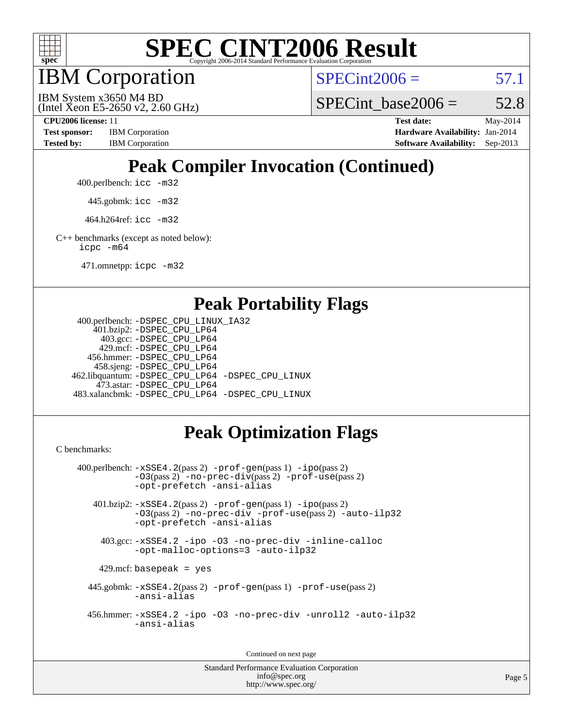

IBM Corporation

 $SPECint2006 = 57.1$  $SPECint2006 = 57.1$ 

(Intel Xeon E5-2650 v2, 2.60 GHz) IBM System x3650 M4 BD

SPECint base2006 =  $52.8$ 

**[CPU2006 license:](http://www.spec.org/auto/cpu2006/Docs/result-fields.html#CPU2006license)** 11 **[Test date:](http://www.spec.org/auto/cpu2006/Docs/result-fields.html#Testdate)** May-2014 **[Test sponsor:](http://www.spec.org/auto/cpu2006/Docs/result-fields.html#Testsponsor)** IBM Corporation **[Hardware Availability:](http://www.spec.org/auto/cpu2006/Docs/result-fields.html#HardwareAvailability)** Jan-2014 [Tested by:](http://www.spec.org/auto/cpu2006/Docs/result-fields.html#Testedby) IBM Corporation **[Software Availability:](http://www.spec.org/auto/cpu2006/Docs/result-fields.html#SoftwareAvailability)** Sep-2013

# **[Peak Compiler Invocation \(Continued\)](http://www.spec.org/auto/cpu2006/Docs/result-fields.html#PeakCompilerInvocation)**

400.perlbench: [icc -m32](http://www.spec.org/cpu2006/results/res2014q3/cpu2006-20140611-29863.flags.html#user_peakCCLD400_perlbench_intel_icc_a6a621f8d50482236b970c6ac5f55f93)

445.gobmk: [icc -m32](http://www.spec.org/cpu2006/results/res2014q3/cpu2006-20140611-29863.flags.html#user_peakCCLD445_gobmk_intel_icc_a6a621f8d50482236b970c6ac5f55f93)

464.h264ref: [icc -m32](http://www.spec.org/cpu2006/results/res2014q3/cpu2006-20140611-29863.flags.html#user_peakCCLD464_h264ref_intel_icc_a6a621f8d50482236b970c6ac5f55f93)

[C++ benchmarks \(except as noted below\):](http://www.spec.org/auto/cpu2006/Docs/result-fields.html#CXXbenchmarksexceptasnotedbelow) [icpc -m64](http://www.spec.org/cpu2006/results/res2014q3/cpu2006-20140611-29863.flags.html#user_CXXpeak_intel_icpc_64bit_fc66a5337ce925472a5c54ad6a0de310)

471.omnetpp: [icpc -m32](http://www.spec.org/cpu2006/results/res2014q3/cpu2006-20140611-29863.flags.html#user_peakCXXLD471_omnetpp_intel_icpc_4e5a5ef1a53fd332b3c49e69c3330699)

### **[Peak Portability Flags](http://www.spec.org/auto/cpu2006/Docs/result-fields.html#PeakPortabilityFlags)**

```
 400.perlbench: -DSPEC_CPU_LINUX_IA32
    401.bzip2: -DSPEC_CPU_LP64
      403.gcc: -DSPEC_CPU_LP64
     429.mcf: -DSPEC_CPU_LP64
   456.hmmer: -DSPEC_CPU_LP64
    458.sjeng: -DSPEC_CPU_LP64
462.libquantum: -DSPEC_CPU_LP64 -DSPEC_CPU_LINUX
     473.astar: -DSPEC_CPU_LP64
483.xalancbmk: -DSPEC_CPU_LP64 -DSPEC_CPU_LINUX
```
# **[Peak Optimization Flags](http://www.spec.org/auto/cpu2006/Docs/result-fields.html#PeakOptimizationFlags)**

[C benchmarks](http://www.spec.org/auto/cpu2006/Docs/result-fields.html#Cbenchmarks):

```
 400.perlbench: -xSSE4.2(pass 2) -prof-gen(pass 1) -ipo(pass 2)
           -O3(pass 2) -no-prec-div(pass 2) -prof-use(pass 2)
          -opt-prefetch -ansi-alias
   401.bzip2: -xSSE4.2(pass 2) -prof-gen(pass 1) -ipo(pass 2)
           -O3(pass 2) -no-prec-div -prof-use(pass 2) -auto-ilp32
           -opt-prefetch -ansi-alias
    403.gcc: -xSSE4.2 -ipo -O3 -no-prec-div -inline-calloc
           -opt-malloc-options=3 -auto-ilp32
   429.mcf: basepeak = yes
  445.gobmk: -xSSE4.2(pass 2) -prof-gen(pass 1) -prof-use(pass 2)
           -ansi-alias
  456.hmmer: -xSSE4.2 -ipo -O3 -no-prec-div -unroll2 -auto-ilp32
           -ansi-alias
```
Continued on next page